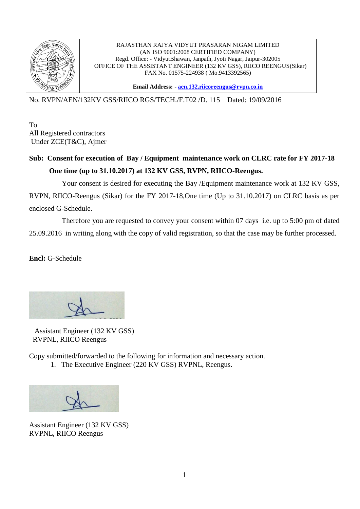

## RAJASTHAN RAJYA VIDYUT PRASARAN NIGAM LIMITED (AN ISO 9001:2008 CERTIFIED COMPANY) Regd. Office: - VidyutBhawan, Janpath, Jyoti Nagar, Jaipur-302005 OFFICE OF THE ASSISTANT ENGINEER (132 KV GSS), RIICO REENGUS(Sikar) FAX No. 01575-224938 ( Mo.9413392565)

**Email Address: - [aen.132.riicoreengus@rvpn.co.in](mailto:aen.132.riicoreengus@rvpn.co.in)**

No. RVPN/AEN/132KV GSS/RIICO RGS/TECH./F.T02 /D. 115 Dated: 19/09/2016

To All Registered contractors Under ZCE(T&C), Ajmer

## **Sub: Consent for execution of Bay / Equipment maintenance work on CLRC rate for FY 2017-18 One time (up to 31.10.2017) at 132 KV GSS, RVPN, RIICO-Reengus.**

 Your consent is desired for executing the Bay /Equipment maintenance work at 132 KV GSS, RVPN, RIICO-Reengus (Sikar) for the FY 2017-18,One time (Up to 31.10.2017) on CLRC basis as per enclosed G-Schedule.

 Therefore you are requested to convey your consent within 07 days i.e. up to 5:00 pm of dated 25.09.2016 in writing along with the copy of valid registration, so that the case may be further processed.

**Encl:** G-Schedule

 Assistant Engineer (132 KV GSS) RVPNL, RIICO Reengus

Copy submitted/forwarded to the following for information and necessary action.

1. The Executive Engineer (220 KV GSS) RVPNL, Reengus.

Assistant Engineer (132 KV GSS) RVPNL, RIICO Reengus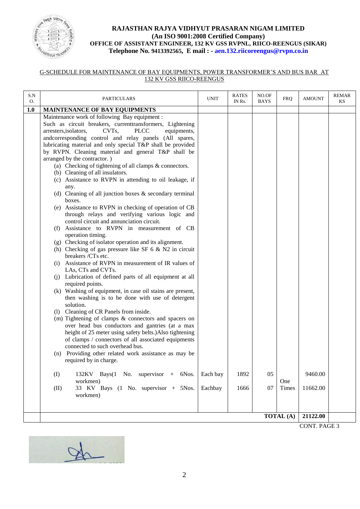

## **RAJASTHAN RAJYA VIDHYUT PRASARAN NIGAM LIMITED (An ISO 9001:2008 Certified Company) OFFICE OF ASSISTANT ENGINEER, 132 KV GSS RVPNL, RIICO-REENGUS (SIKAR) Telephone No. 9413392565, E mail : - aen.132.riicoreengus@rvpn.co.in**

## G-SCHEDULE FOR MAINTENANCE OF BAY EQUIPMENTS, POWER TRANSFORMER'S AND BUS BAR AT 132 KV GSS RIICO-REENGUS

| S.N<br>O. | <b>PARTICULARS</b>                                                        | <b>UNIT</b> | <b>RATES</b><br>IN Rs. | NO.OF<br><b>BAYS</b> | <b>FRQ</b> | <b>AMOUNT</b> | REMAR<br>KS |
|-----------|---------------------------------------------------------------------------|-------------|------------------------|----------------------|------------|---------------|-------------|
| 1.0       | MAINTENANCE OF BAY EQUIPMENTS                                             |             |                        |                      |            |               |             |
|           | Maintenance work of following Bay equipment :                             |             |                        |                      |            |               |             |
|           | Such as circuit breakers, currenttransformers, Lightening                 |             |                        |                      |            |               |             |
|           | arresters, isolators,<br>CVT <sub>s</sub> ,<br><b>PLCC</b><br>equipments, |             |                        |                      |            |               |             |
|           | andcorresponding control and relay panels (All spares,                    |             |                        |                      |            |               |             |
|           | lubricating material and only special T&P shall be provided               |             |                        |                      |            |               |             |
|           | by RVPN. Cleaning material and general T&P shall be                       |             |                        |                      |            |               |             |
|           | arranged by the contractor.)                                              |             |                        |                      |            |               |             |
|           | (a) Checking of tightening of all clamps & connectors.                    |             |                        |                      |            |               |             |
|           | (b) Cleaning of all insulators.                                           |             |                        |                      |            |               |             |
|           | (c) Assistance to RVPN in attending to oil leakage, if                    |             |                        |                      |            |               |             |
|           | any.<br>(d) Cleaning of all junction boxes $\&$ secondary terminal        |             |                        |                      |            |               |             |
|           | boxes.                                                                    |             |                        |                      |            |               |             |
|           | (e) Assistance to RVPN in checking of operation of CB                     |             |                        |                      |            |               |             |
|           | through relays and verifying various logic and                            |             |                        |                      |            |               |             |
|           | control circuit and annunciation circuit.                                 |             |                        |                      |            |               |             |
|           | (f) Assistance to RVPN in measurement of CB                               |             |                        |                      |            |               |             |
|           | operation timing.                                                         |             |                        |                      |            |               |             |
|           | (g) Checking of isolator operation and its alignment.                     |             |                        |                      |            |               |             |
|           | (h) Checking of gas pressure like SF $6 \& N2$ in circuit                 |             |                        |                      |            |               |             |
|           | breakers /CTs etc.                                                        |             |                        |                      |            |               |             |
|           | (i) Assistance of RVPN in measurement of IR values of                     |             |                        |                      |            |               |             |
|           | LAs, CTs and CVTs.                                                        |             |                        |                      |            |               |             |
|           | (j) Lubrication of defined parts of all equipment at all                  |             |                        |                      |            |               |             |
|           | required points.                                                          |             |                        |                      |            |               |             |
|           | (k) Washing of equipment, in case oil stains are present,                 |             |                        |                      |            |               |             |
|           | then washing is to be done with use of detergent<br>solution.             |             |                        |                      |            |               |             |
|           | (1) Cleaning of CR Panels from inside.                                    |             |                        |                      |            |               |             |
|           | (m) Tightening of clamps & connectors and spacers on                      |             |                        |                      |            |               |             |
|           | over head bus conductors and gantries (at a max                           |             |                        |                      |            |               |             |
|           | height of 25 meter using safety belts.) Also tightening                   |             |                        |                      |            |               |             |
|           | of clamps / connectors of all associated equipments                       |             |                        |                      |            |               |             |
|           | connected to such overhead bus.                                           |             |                        |                      |            |               |             |
|           | (n) Providing other related work assistance as may be                     |             |                        |                      |            |               |             |
|           | required by in charge.                                                    |             |                        |                      |            |               |             |
|           |                                                                           |             |                        |                      |            |               |             |
|           | 132KV Bays(1 No. supervisor + 6Nos.<br>(I)                                | Each bay    | 1892                   | 05                   |            | 9460.00       |             |
|           | workmen)                                                                  |             |                        |                      | One        |               |             |
|           | 33 KV Bays (1 No. supervisor + 5Nos.<br>(II)                              | Eachbay     | 1666                   | 07                   | Times      | 11662.00      |             |
|           | workmen)                                                                  |             |                        |                      |            |               |             |
|           |                                                                           |             |                        |                      |            |               |             |
|           |                                                                           |             |                        |                      | TOTAL (A)  | 21122.00      |             |
|           |                                                                           |             |                        |                      |            |               |             |



CONT. PAGE 3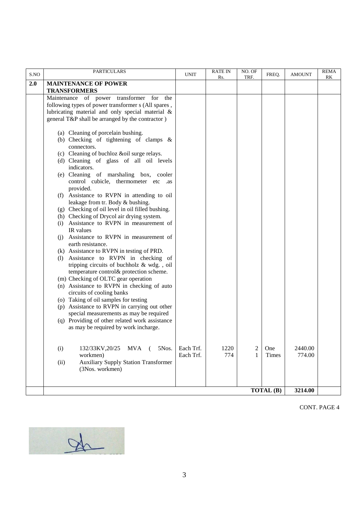| S.NO | <b>PARTICULARS</b>                                                                                      | <b>UNIT</b> | <b>RATE IN</b><br>Rs. | NO. OF<br>TRF. | FREQ. | <b>AMOUNT</b> | <b>REMA</b><br>RK |
|------|---------------------------------------------------------------------------------------------------------|-------------|-----------------------|----------------|-------|---------------|-------------------|
| 2.0  | <b>MAINTENANCE OF POWER</b>                                                                             |             |                       |                |       |               |                   |
|      | <b>TRANSFORMERS</b>                                                                                     |             |                       |                |       |               |                   |
|      | Maintenance of power transformer<br>for<br>the                                                          |             |                       |                |       |               |                   |
|      | following types of power transformer s (All spares,<br>lubricating material and only special material & |             |                       |                |       |               |                   |
|      | general T&P shall be arranged by the contractor)                                                        |             |                       |                |       |               |                   |
|      |                                                                                                         |             |                       |                |       |               |                   |
|      | (a) Cleaning of porcelain bushing.                                                                      |             |                       |                |       |               |                   |
|      | (b) Checking of tightening of clamps $\&$                                                               |             |                       |                |       |               |                   |
|      | connectors.                                                                                             |             |                       |                |       |               |                   |
|      | (c) Cleaning of buchloz &oil surge relays.                                                              |             |                       |                |       |               |                   |
|      | (d) Cleaning of glass of all oil levels                                                                 |             |                       |                |       |               |                   |
|      | indicators.                                                                                             |             |                       |                |       |               |                   |
|      | (e) Cleaning of marshaling box, cooler<br>control cubicle, thermometer etc .as                          |             |                       |                |       |               |                   |
|      | provided.                                                                                               |             |                       |                |       |               |                   |
|      | (f) Assistance to RVPN in attending to oil                                                              |             |                       |                |       |               |                   |
|      | leakage from tr. Body & bushing.                                                                        |             |                       |                |       |               |                   |
|      | (g) Checking of oil level in oil filled bushing.                                                        |             |                       |                |       |               |                   |
|      | (h) Checking of Drycol air drying system.                                                               |             |                       |                |       |               |                   |
|      | (i) Assistance to RVPN in measurement of                                                                |             |                       |                |       |               |                   |
|      | IR values<br>(j) Assistance to RVPN in measurement of                                                   |             |                       |                |       |               |                   |
|      | earth resistance.                                                                                       |             |                       |                |       |               |                   |
|      | (k) Assistance to RVPN in testing of PRD.                                                               |             |                       |                |       |               |                   |
|      | (l) Assistance to RVPN in checking of                                                                   |             |                       |                |       |               |                   |
|      | tripping circuits of buchholz & wdg., oil                                                               |             |                       |                |       |               |                   |
|      | temperature control& protection scheme.                                                                 |             |                       |                |       |               |                   |
|      | (m) Checking of OLTC gear operation                                                                     |             |                       |                |       |               |                   |
|      | (n) Assistance to RVPN in checking of auto<br>circuits of cooling banks                                 |             |                       |                |       |               |                   |
|      | (o) Taking of oil samples for testing                                                                   |             |                       |                |       |               |                   |
|      | (p) Assistance to RVPN in carrying out other                                                            |             |                       |                |       |               |                   |
|      | special measurements as may be required                                                                 |             |                       |                |       |               |                   |
|      | (q) Providing of other related work assistance                                                          |             |                       |                |       |               |                   |
|      | as may be required by work incharge.                                                                    |             |                       |                |       |               |                   |
|      |                                                                                                         |             |                       |                |       |               |                   |
|      | (i)<br>132/33KV, 20/25<br><b>MVA</b><br>5Nos.                                                           | Each Trf.   | 1220                  | $\overline{c}$ | One   | 2440.00       |                   |
|      | workmen)                                                                                                | Each Trf.   | 774                   | 1              | Times | 774.00        |                   |
|      | <b>Auxiliary Supply Station Transformer</b><br>(ii)                                                     |             |                       |                |       |               |                   |
|      | (3Nos. workmen)                                                                                         |             |                       |                |       |               |                   |
|      |                                                                                                         |             |                       |                |       |               |                   |
|      | TOTAL (B)                                                                                               |             |                       |                |       |               |                   |
|      |                                                                                                         |             |                       |                |       | 3214.00       |                   |

CONT. PAGE 4